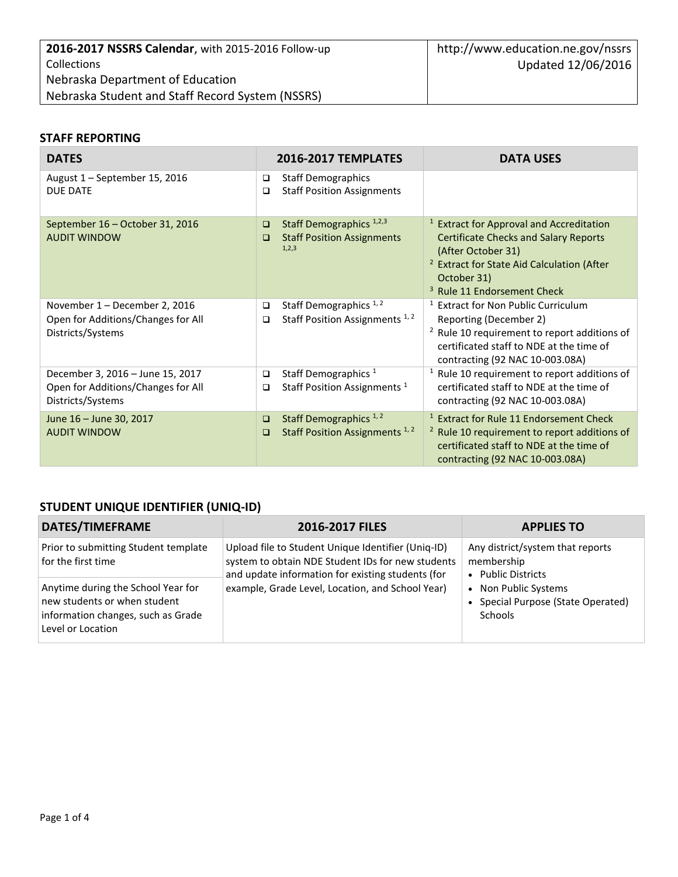### **STAFF REPORTING**

| <b>DATES</b>                                                                                | <b>2016-2017 TEMPLATES</b>                                                                            | <b>DATA USES</b>                                                                                                                                                                                                                            |
|---------------------------------------------------------------------------------------------|-------------------------------------------------------------------------------------------------------|---------------------------------------------------------------------------------------------------------------------------------------------------------------------------------------------------------------------------------------------|
| August 1 - September 15, 2016<br><b>DUE DATE</b>                                            | <b>Staff Demographics</b><br>□<br><b>Staff Position Assignments</b><br>□                              |                                                                                                                                                                                                                                             |
| September 16 - October 31, 2016<br><b>AUDIT WINDOW</b>                                      | Staff Demographics <sup>1,2,3</sup><br>$\Box$<br><b>Staff Position Assignments</b><br>$\Box$<br>1,2,3 | <sup>1</sup> Extract for Approval and Accreditation<br><b>Certificate Checks and Salary Reports</b><br>(After October 31)<br><sup>2</sup> Extract for State Aid Calculation (After<br>October 31)<br><sup>3</sup> Rule 11 Endorsement Check |
| November 1 - December 2, 2016<br>Open for Additions/Changes for All<br>Districts/Systems    | Staff Demographics <sup>1,2</sup><br>$\Box$<br>Staff Position Assignments <sup>1,2</sup><br>$\Box$    | <sup>1</sup> Extract for Non Public Curriculum<br>Reporting (December 2)<br><sup>2</sup> Rule 10 requirement to report additions of<br>certificated staff to NDE at the time of<br>contracting (92 NAC 10-003.08A)                          |
| December 3, 2016 - June 15, 2017<br>Open for Additions/Changes for All<br>Districts/Systems | Staff Demographics <sup>1</sup><br>$\Box$<br>Staff Position Assignments <sup>1</sup><br>□             | $1$ Rule 10 requirement to report additions of<br>certificated staff to NDE at the time of<br>contracting (92 NAC 10-003.08A)                                                                                                               |
| June 16 - June 30, 2017<br><b>AUDIT WINDOW</b>                                              | Staff Demographics <sup>1,2</sup><br>$\Box$<br>Staff Position Assignments <sup>1,2</sup><br>□         | <sup>1</sup> Extract for Rule 11 Endorsement Check<br><sup>2</sup> Rule 10 requirement to report additions of<br>certificated staff to NDE at the time of<br>contracting (92 NAC 10-003.08A)                                                |

## **STUDENT UNIQUE IDENTIFIER (UNIQ-ID)**

| DATES/TIMEFRAME                                                                                                               | 2016-2017 FILES                                                                                                                                                                                                  | <b>APPLIES TO</b>                                                                                                                                             |
|-------------------------------------------------------------------------------------------------------------------------------|------------------------------------------------------------------------------------------------------------------------------------------------------------------------------------------------------------------|---------------------------------------------------------------------------------------------------------------------------------------------------------------|
| Prior to submitting Student template<br>for the first time                                                                    | Upload file to Student Unique Identifier (Uniq-ID)<br>system to obtain NDE Student IDs for new students<br>and update information for existing students (for<br>example, Grade Level, Location, and School Year) | Any district/system that reports<br>membership<br>• Public Districts<br>Non Public Systems<br>$\bullet$<br>Special Purpose (State Operated)<br><b>Schools</b> |
| Anytime during the School Year for<br>new students or when student<br>information changes, such as Grade<br>Level or Location |                                                                                                                                                                                                                  |                                                                                                                                                               |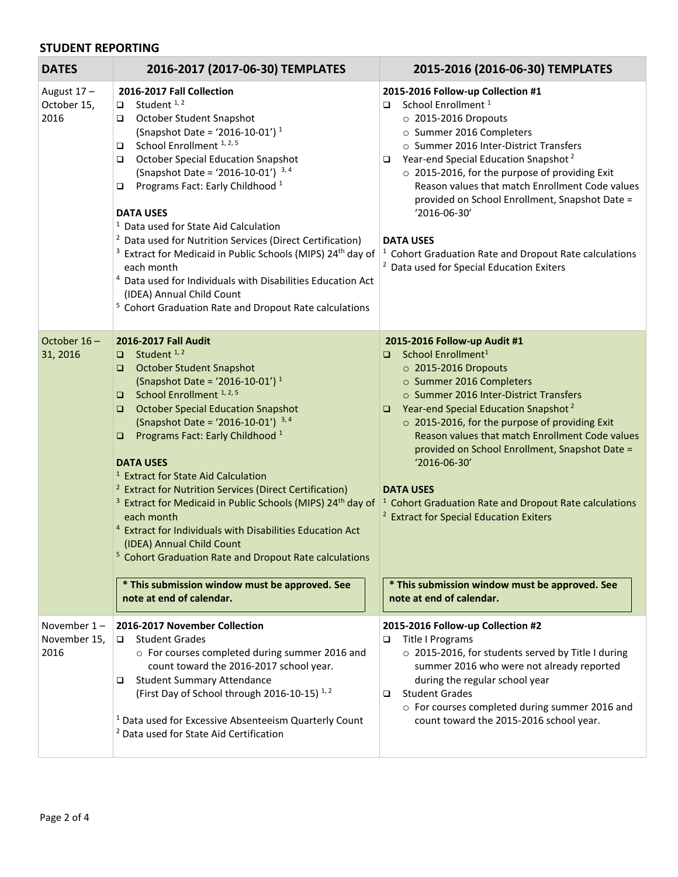#### **STUDENT REPORTING**

| <b>DATES</b>                           | 2016-2017 (2017-06-30) TEMPLATES                                                                                                                                                                                                                                                                                                                                                                                                                                                                                                                                                                                                                                                                                                                                                                                                                          | 2015-2016 (2016-06-30) TEMPLATES                                                                                                                                                                                                                                                                                                                                                                                                                                                                                                                                                                                                      |
|----------------------------------------|-----------------------------------------------------------------------------------------------------------------------------------------------------------------------------------------------------------------------------------------------------------------------------------------------------------------------------------------------------------------------------------------------------------------------------------------------------------------------------------------------------------------------------------------------------------------------------------------------------------------------------------------------------------------------------------------------------------------------------------------------------------------------------------------------------------------------------------------------------------|---------------------------------------------------------------------------------------------------------------------------------------------------------------------------------------------------------------------------------------------------------------------------------------------------------------------------------------------------------------------------------------------------------------------------------------------------------------------------------------------------------------------------------------------------------------------------------------------------------------------------------------|
| August 17-<br>October 15,<br>2016      | 2016-2017 Fall Collection<br>Student <sup>1,2</sup><br>$\Box$<br>October Student Snapshot<br>□<br>(Snapshot Date = '2016-10-01') <sup>1</sup><br>School Enrollment <sup>1, 2, 5</sup><br>$\Box$<br><b>October Special Education Snapshot</b><br>$\Box$<br>(Snapshot Date = '2016-10-01') $3,4$<br>Programs Fact: Early Childhood <sup>1</sup><br>$\Box$<br><b>DATA USES</b><br><sup>1</sup> Data used for State Aid Calculation<br><sup>2</sup> Data used for Nutrition Services (Direct Certification)<br><sup>3</sup> Extract for Medicaid in Public Schools (MIPS) 24 <sup>th</sup> day of<br>each month<br><sup>4</sup> Data used for Individuals with Disabilities Education Act<br>(IDEA) Annual Child Count<br><sup>5</sup> Cohort Graduation Rate and Dropout Rate calculations                                                                   | 2015-2016 Follow-up Collection #1<br>School Enrollment <sup>1</sup><br>o.<br>$\circ$ 2015-2016 Dropouts<br>o Summer 2016 Completers<br>o Summer 2016 Inter-District Transfers<br>Year-end Special Education Snapshot <sup>2</sup><br>O.<br>o 2015-2016, for the purpose of providing Exit<br>Reason values that match Enrollment Code values<br>provided on School Enrollment, Snapshot Date =<br>'2016-06-30'<br><b>DATA USES</b><br><sup>1</sup> Cohort Graduation Rate and Dropout Rate calculations<br><sup>2</sup> Data used for Special Education Exiters                                                                       |
| October 16-<br>31, 2016                | 2016-2017 Fall Audit<br>$\Box$ Student <sup>1,2</sup><br><b>October Student Snapshot</b><br>(Snapshot Date = '2016-10-01') <sup>1</sup><br>School Enrollment <sup>1, 2, 5</sup><br>$\Box$<br><b>October Special Education Snapshot</b><br>$\Box$<br>(Snapshot Date = '2016-10-01') $3,4$<br>Programs Fact: Early Childhood <sup>1</sup><br>$\Box$<br><b>DATA USES</b><br><sup>1</sup> Extract for State Aid Calculation<br><sup>2</sup> Extract for Nutrition Services (Direct Certification)<br><sup>3</sup> Extract for Medicaid in Public Schools (MIPS) 24 <sup>th</sup> day of<br>each month<br><sup>4</sup> Extract for Individuals with Disabilities Education Act<br>(IDEA) Annual Child Count<br><sup>5</sup> Cohort Graduation Rate and Dropout Rate calculations<br>* This submission window must be approved. See<br>note at end of calendar. | 2015-2016 Follow-up Audit #1<br>□ School Enrollment <sup>1</sup><br>$\circ$ 2015-2016 Dropouts<br>o Summer 2016 Completers<br>o Summer 2016 Inter-District Transfers<br><b>D</b> Year-end Special Education Snapshot <sup>2</sup><br>o 2015-2016, for the purpose of providing Exit<br>Reason values that match Enrollment Code values<br>provided on School Enrollment, Snapshot Date =<br>'2016-06-30'<br><b>DATA USES</b><br><sup>1</sup> Cohort Graduation Rate and Dropout Rate calculations<br><sup>2</sup> Extract for Special Education Exiters<br>* This submission window must be approved. See<br>note at end of calendar. |
| November $1 -$<br>November 15,<br>2016 | 2016-2017 November Collection<br><b>Student Grades</b><br>$\Box$<br>o For courses completed during summer 2016 and<br>count toward the 2016-2017 school year.<br><b>Student Summary Attendance</b><br>□<br>(First Day of School through 2016-10-15) <sup>1,2</sup><br><sup>1</sup> Data used for Excessive Absenteeism Quarterly Count<br><sup>2</sup> Data used for State Aid Certification                                                                                                                                                                                                                                                                                                                                                                                                                                                              | 2015-2016 Follow-up Collection #2<br>Title I Programs<br>□<br>o 2015-2016, for students served by Title I during<br>summer 2016 who were not already reported<br>during the regular school year<br><b>Student Grades</b><br>o.<br>o For courses completed during summer 2016 and<br>count toward the 2015-2016 school year.                                                                                                                                                                                                                                                                                                           |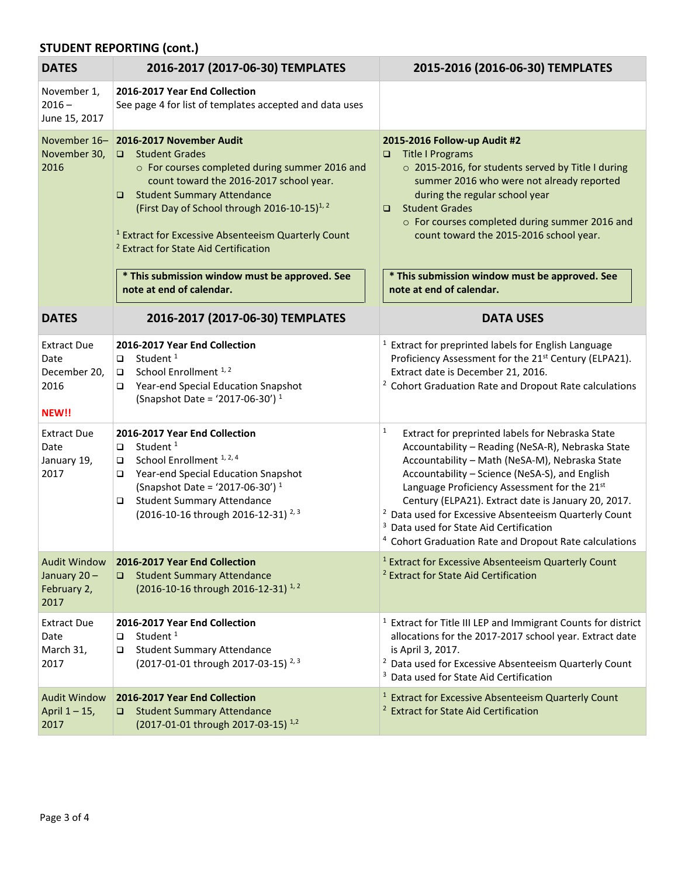# **STUDENT REPORTING (cont.)**

| <b>DATES</b>                                                | 2016-2017 (2017-06-30) TEMPLATES                                                                                                                                                                                                                                                                                                                                      | 2015-2016 (2016-06-30) TEMPLATES                                                                                                                                                                                                                                                                                                                                                                                                                                                                                                |
|-------------------------------------------------------------|-----------------------------------------------------------------------------------------------------------------------------------------------------------------------------------------------------------------------------------------------------------------------------------------------------------------------------------------------------------------------|---------------------------------------------------------------------------------------------------------------------------------------------------------------------------------------------------------------------------------------------------------------------------------------------------------------------------------------------------------------------------------------------------------------------------------------------------------------------------------------------------------------------------------|
| November 1,<br>$2016 -$<br>June 15, 2017                    | 2016-2017 Year End Collection<br>See page 4 for list of templates accepted and data uses                                                                                                                                                                                                                                                                              |                                                                                                                                                                                                                                                                                                                                                                                                                                                                                                                                 |
| November 16-<br>November 30,<br>2016                        | 2016-2017 November Audit<br>□ Student Grades<br>o For courses completed during summer 2016 and<br>count toward the 2016-2017 school year.<br><b>Student Summary Attendance</b><br>□<br>(First Day of School through 2016-10-15) <sup>1, 2</sup><br><sup>1</sup> Extract for Excessive Absenteeism Quarterly Count<br><sup>2</sup> Extract for State Aid Certification | 2015-2016 Follow-up Audit #2<br><b>Title I Programs</b><br>$\Box$<br>o 2015-2016, for students served by Title I during<br>summer 2016 who were not already reported<br>during the regular school year<br><b>Student Grades</b><br>$\Box$<br>o For courses completed during summer 2016 and<br>count toward the 2015-2016 school year.                                                                                                                                                                                          |
|                                                             | * This submission window must be approved. See<br>note at end of calendar.                                                                                                                                                                                                                                                                                            | * This submission window must be approved. See<br>note at end of calendar.                                                                                                                                                                                                                                                                                                                                                                                                                                                      |
| <b>DATES</b>                                                | 2016-2017 (2017-06-30) TEMPLATES                                                                                                                                                                                                                                                                                                                                      | <b>DATA USES</b>                                                                                                                                                                                                                                                                                                                                                                                                                                                                                                                |
| <b>Extract Due</b><br>Date<br>December 20,<br>2016<br>NEW!! | 2016-2017 Year End Collection<br>Student <sup>1</sup><br>$\Box$<br>School Enrollment <sup>1,2</sup><br>$\Box$<br>Year-end Special Education Snapshot<br>□<br>(Snapshot Date = '2017-06-30') <sup>1</sup>                                                                                                                                                              | <sup>1</sup> Extract for preprinted labels for English Language<br>Proficiency Assessment for the 21 <sup>st</sup> Century (ELPA21).<br>Extract date is December 21, 2016.<br><sup>2</sup> Cohort Graduation Rate and Dropout Rate calculations                                                                                                                                                                                                                                                                                 |
| <b>Extract Due</b><br>Date<br>January 19,<br>2017           | 2016-2017 Year End Collection<br>Student <sup>1</sup><br>$\Box$<br>School Enrollment <sup>1, 2, 4</sup><br>$\Box$<br>Year-end Special Education Snapshot<br>❏<br>(Snapshot Date = '2017-06-30') <sup>1</sup><br><b>Student Summary Attendance</b><br>$\Box$<br>(2016-10-16 through 2016-12-31) <sup>2,3</sup>                                                         | $\mathbf{1}$<br>Extract for preprinted labels for Nebraska State<br>Accountability - Reading (NeSA-R), Nebraska State<br>Accountability - Math (NeSA-M), Nebraska State<br>Accountability - Science (NeSA-S), and English<br>Language Proficiency Assessment for the 21st<br>Century (ELPA21). Extract date is January 20, 2017.<br><sup>2</sup> Data used for Excessive Absenteeism Quarterly Count<br><sup>3</sup> Data used for State Aid Certification<br><sup>4</sup> Cohort Graduation Rate and Dropout Rate calculations |
| <b>Audit Window</b><br>January 20-<br>February 2,<br>2017   | 2016-2017 Year End Collection<br>□ Student Summary Attendance<br>(2016-10-16 through 2016-12-31) <sup>1,2</sup>                                                                                                                                                                                                                                                       | <sup>1</sup> Extract for Excessive Absenteeism Quarterly Count<br><sup>2</sup> Extract for State Aid Certification                                                                                                                                                                                                                                                                                                                                                                                                              |
| <b>Extract Due</b><br>Date<br>March 31,<br>2017             | 2016-2017 Year End Collection<br>Student <sup>1</sup><br>❏<br><b>Student Summary Attendance</b><br>❏<br>(2017-01-01 through 2017-03-15) <sup>2,3</sup>                                                                                                                                                                                                                | <sup>1</sup> Extract for Title III LEP and Immigrant Counts for district<br>allocations for the 2017-2017 school year. Extract date<br>is April 3, 2017.<br><sup>2</sup> Data used for Excessive Absenteeism Quarterly Count<br><sup>3</sup> Data used for State Aid Certification                                                                                                                                                                                                                                              |
| <b>Audit Window</b><br>April 1-15,<br>2017                  | 2016-2017 Year End Collection<br><b>Student Summary Attendance</b><br>$\Box$<br>(2017-01-01 through 2017-03-15) <sup>1,2</sup>                                                                                                                                                                                                                                        | <sup>1</sup> Extract for Excessive Absenteeism Quarterly Count<br><sup>2</sup> Extract for State Aid Certification                                                                                                                                                                                                                                                                                                                                                                                                              |